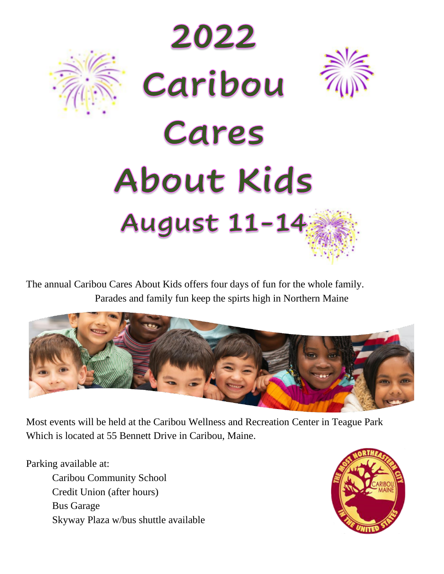

The annual Caribou Cares About Kids offers four days of fun for the whole family. Parades and family fun keep the spirts high in Northern Maine



Most events will be held at the Caribou Wellness and Recreation Center in Teague Park Which is located at 55 Bennett Drive in Caribou, Maine.

Parking available at:

Caribou Community School Credit Union (after hours) Bus Garage Skyway Plaza w/bus shuttle available

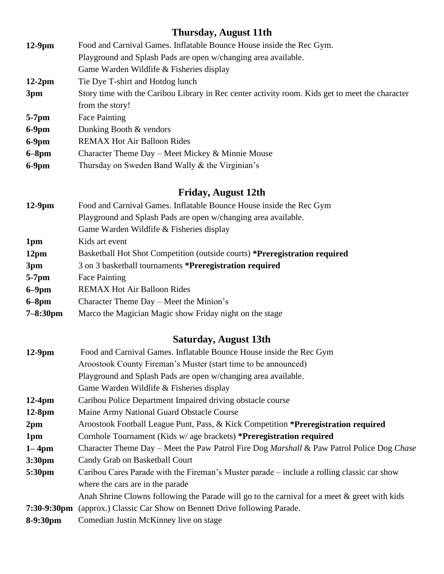# **Thursday, August 11th**

| $12-9$ pm     | Food and Carnival Games. Inflatable Bounce House inside the Rec Gym.                            |
|---------------|-------------------------------------------------------------------------------------------------|
|               | Playground and Splash Pads are open w/changing area available.                                  |
|               | Game Warden Wildlife & Fisheries display                                                        |
| $12-2pm$      | Tie Dye T-shirt and Hotdog lunch                                                                |
| 3pm           | Story time with the Caribou Library in Rec center activity room. Kids get to meet the character |
|               | from the story!                                                                                 |
| $5-7$ pm      | Face Painting                                                                                   |
| $6-9$ pm      | Dunking Booth & vendors                                                                         |
| $6-9$ pm      | <b>REMAX Hot Air Balloon Rides</b>                                                              |
| $\sim$ $\sim$ |                                                                                                 |

- **6–8pm** Character Theme Day Meet Mickey & Minnie Mouse
- **6-9pm** Thursday on Sweden Band Wally & the Virginian's

# **Friday, August 12th**

| Basketball Hot Shot Competition (outside courts) *Preregistration required |
|----------------------------------------------------------------------------|
|                                                                            |
|                                                                            |
|                                                                            |
|                                                                            |
|                                                                            |
|                                                                            |

# **Saturday, August 13th**

| $12-9$ pm             | Food and Carnival Games. Inflatable Bounce House inside the Rec Gym                                         |
|-----------------------|-------------------------------------------------------------------------------------------------------------|
|                       | Aroostook County Fireman's Muster (start time to be announced)                                              |
|                       | Playground and Splash Pads are open w/changing area available.                                              |
|                       | Game Warden Wildlife & Fisheries display                                                                    |
| $12-4pm$              | Caribou Police Department Impaired driving obstacle course                                                  |
| $12-8pm$              | Maine Army National Guard Obstacle Course                                                                   |
| 2 <sub>pm</sub>       | Aroostook Football League Punt, Pass, & Kick Competition *Preregistration required                          |
| 1 <sub>pm</sub>       | Cornhole Tournament (Kids w/ age brackets) * <b>Preregistration required</b>                                |
| $1 - 4pm$             | Character Theme Day – Meet the Paw Patrol Fire Dog <i>Marshall &amp;</i> Paw Patrol Police Dog <i>Chase</i> |
| 3:30 <sub>pm</sub>    | Candy Grab on Basketball Court                                                                              |
| 5:30pm                | Caribou Cares Parade with the Fireman's Muster parade – include a rolling classic car show                  |
|                       | where the cars are in the parade                                                                            |
|                       | Anah Shrine Clowns following the Parade will go to the carnival for a meet $\&$ greet with kids             |
| $7:30-9:30 \text{pm}$ | (approx.) Classic Car Show on Bennett Drive following Parade.                                               |
| 8-9:30pm              | Comedian Justin McKinney live on stage                                                                      |